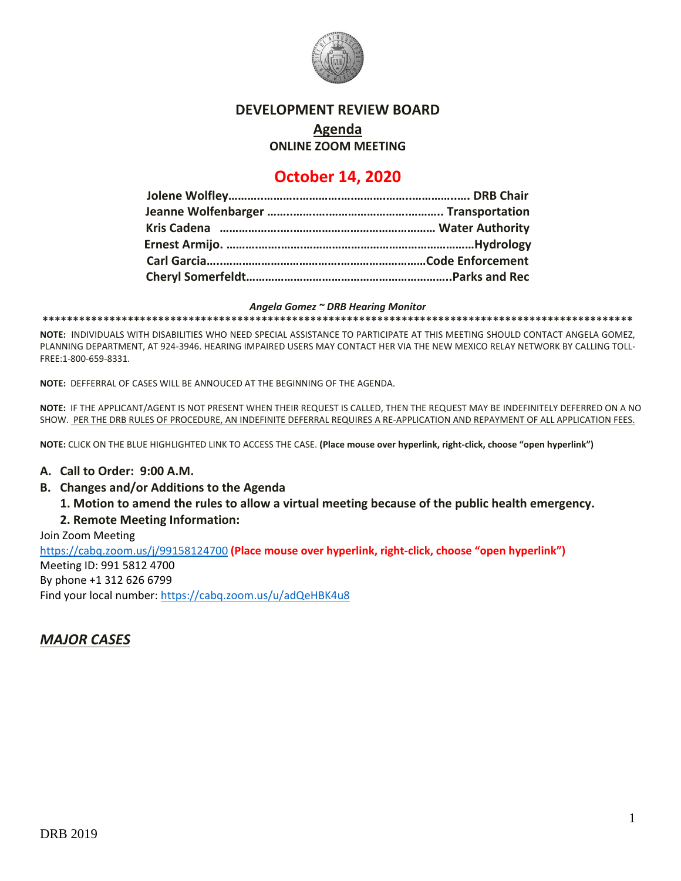

### **DEVELOPMENT REVIEW BOARD**

# **Agenda**

**ONLINE ZOOM MEETING**

# **October 14, 2020**

#### *Angela Gomez ~ DRB Hearing Monitor*

**\*\*\*\*\*\*\*\*\*\*\*\*\*\*\*\*\*\*\*\*\*\*\*\*\*\*\*\*\*\*\*\*\*\*\*\*\*\*\*\*\*\*\*\*\*\*\*\*\*\*\*\*\*\*\*\*\*\*\*\*\*\*\*\*\*\*\*\*\*\*\*\*\*\*\*\*\*\*\*\*\*\*\*\*\*\*\*\*\*\*\*\*\*\*\*\*\***

**NOTE:** INDIVIDUALS WITH DISABILITIES WHO NEED SPECIAL ASSISTANCE TO PARTICIPATE AT THIS MEETING SHOULD CONTACT ANGELA GOMEZ, PLANNING DEPARTMENT, AT 924-3946. HEARING IMPAIRED USERS MAY CONTACT HER VIA THE NEW MEXICO RELAY NETWORK BY CALLING TOLL-FREE:1-800-659-8331.

**NOTE:** DEFFERRAL OF CASES WILL BE ANNOUCED AT THE BEGINNING OF THE AGENDA.

**NOTE:** IF THE APPLICANT/AGENT IS NOT PRESENT WHEN THEIR REQUEST IS CALLED, THEN THE REQUEST MAY BE INDEFINITELY DEFERRED ON A NO SHOW. PER THE DRB RULES OF PROCEDURE, AN INDEFINITE DEFERRAL REQUIRES A RE-APPLICATION AND REPAYMENT OF ALL APPLICATION FEES.

**NOTE:** CLICK ON THE BLUE HIGHLIGHTED LINK TO ACCESS THE CASE. **(Place mouse over hyperlink, right-click, choose "open hyperlink")**

#### **A. Call to Order: 9:00 A.M.**

- **B. Changes and/or Additions to the Agenda**
	- **1. Motion to amend the rules to allow a virtual meeting because of the public health emergency.**

#### **2. Remote Meeting Information:**

Join Zoom Meeting <https://cabq.zoom.us/j/99158124700> **(Place mouse over hyperlink, right-click, choose "open hyperlink")**

Meeting ID: 991 5812 4700 By phone +1 312 626 6799 Find your local number[: https://cabq.zoom.us/u/adQeHBK4u8](https://cabq.zoom.us/u/adQeHBK4u8)

## *MAJOR CASES*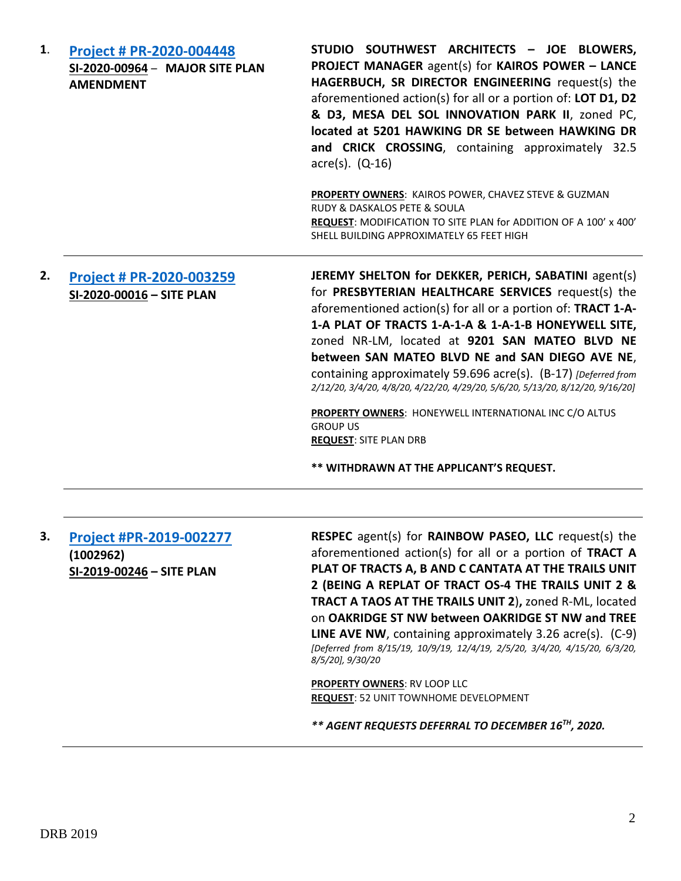| <b>Project # PR-2020-004448</b> |  |  |
|---------------------------------|--|--|
| SI-2020-00964 - MAJOR SITE PLAN |  |  |
| <b>AMENDMENT</b>                |  |  |

**STUDIO SOUTHWEST ARCHITECTS – JOE BLOWERS, PROJECT MANAGER** agent(s) for **KAIROS POWER – LANCE HAGERBUCH, SR DIRECTOR ENGINEERING** request(s) the aforementioned action(s) for all or a portion of: **LOT D1, D2 & D3, MESA DEL SOL INNOVATION PARK II**, zoned PC, **located at 5201 HAWKING DR SE between HAWKING DR and CRICK CROSSING**, containing approximately 32.5 acre(s). (Q-16)

**PROPERTY OWNERS**: KAIROS POWER, CHAVEZ STEVE & GUZMAN RUDY & DASKALOS PETE & SOULA **REQUEST**: MODIFICATION TO SITE PLAN for ADDITION OF A 100' x 400' SHELL BUILDING APPROXIMATELY 65 FEET HIGH

## **2. [Project # PR-2020-003259](http://data.cabq.gov/government/planning/DRB/PR-2020-003259/DRB%20Submittals/PR-2020-003259_Feb_12_2020/Application/) SI-2020-00016 – SITE PLAN**

**JEREMY SHELTON for DEKKER, PERICH, SABATINI** agent(s) for **PRESBYTERIAN HEALTHCARE SERVICES** request(s) the aforementioned action(s) for all or a portion of: **TRACT 1-A-1-A PLAT OF TRACTS 1-A-1-A & 1-A-1-B HONEYWELL SITE,** zoned NR-LM, located at **9201 SAN MATEO BLVD NE between SAN MATEO BLVD NE and SAN DIEGO AVE NE**, containing approximately 59.696 acre(s). (B-17) *[Deferred from 2/12/20, 3/4/20, 4/8/20, 4/22/20, 4/29/20, 5/6/20, 5/13/20, 8/12/20, 9/16/20]*

**PROPERTY OWNERS**: HONEYWELL INTERNATIONAL INC C/O ALTUS GROUP US **REQUEST**: SITE PLAN DRB

**\*\* WITHDRAWN AT THE APPLICANT'S REQUEST.**

| 3. | <b>Project #PR-2019-002277</b> |  |
|----|--------------------------------|--|
|    | (1002962)                      |  |
|    | SI-2019-00246 - SITE PLAN      |  |

**RESPEC** agent(s) for **RAINBOW PASEO, LLC** request(s) the aforementioned action(s) for all or a portion of **TRACT A PLAT OF TRACTS A, B AND C CANTATA AT THE TRAILS UNIT 2 (BEING A REPLAT OF TRACT OS-4 THE TRAILS UNIT 2 & TRACT A TAOS AT THE TRAILS UNIT 2**)**,** zoned R-ML, located on **OAKRIDGE ST NW between OAKRIDGE ST NW and TREE LINE AVE NW**, containing approximately 3.26 acre(s). (C-9) *[Deferred from 8/15/19, 10/9/19, 12/4/19, 2/5/20, 3/4/20, 4/15/20, 6/3/20, 8/5/20], 9/30/20*

**PROPERTY OWNERS**: RV LOOP LLC **REQUEST**: 52 UNIT TOWNHOME DEVELOPMENT

*\*\* AGENT REQUESTS DEFERRAL TO DECEMBER 16TH, 2020.*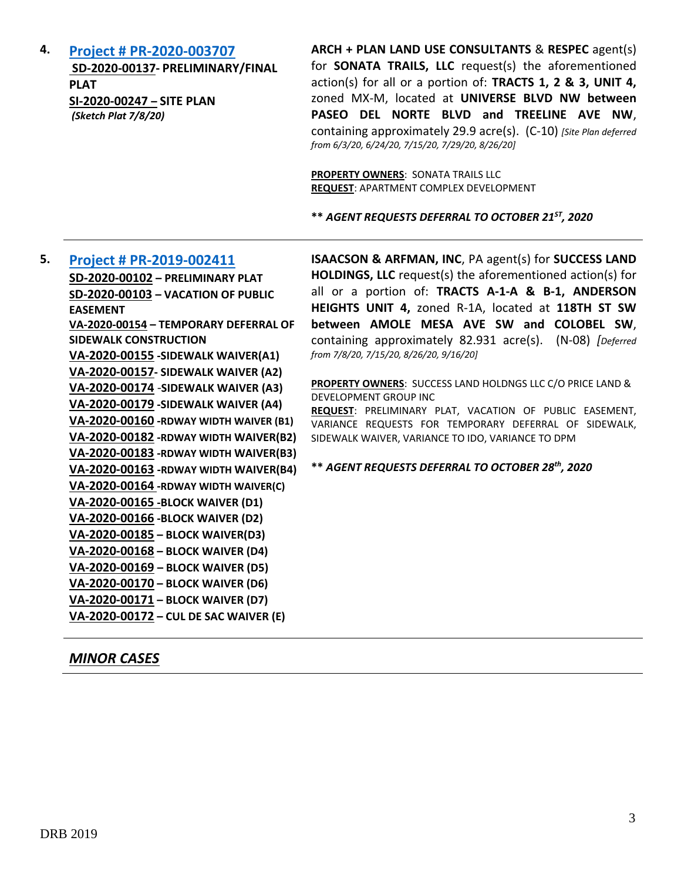**4. [Project # PR-2020-003707](http://data.cabq.gov/government/planning/DRB/PR-2020-003707/DRB%20Submittals/PR-2020-003707_Jul_29_2020_Supp/Application/)**

**SD-2020-00137- PRELIMINARY/FINAL PLAT SI-2020-00247 – SITE PLAN** *(Sketch Plat 7/8/20)* 

**ARCH + PLAN LAND USE CONSULTANTS** & **RESPEC** agent(s) for **SONATA TRAILS, LLC** request(s) the aforementioned action(s) for all or a portion of: **TRACTS 1, 2 & 3, UNIT 4,**  zoned MX-M, located at **UNIVERSE BLVD NW between PASEO DEL NORTE BLVD and TREELINE AVE NW**, containing approximately 29.9 acre(s). (C-10) *[Site Plan deferred from 6/3/20, 6/24/20, 7/15/20, 7/29/20, 8/26/20]*

**PROPERTY OWNERS**: SONATA TRAILS LLC **REQUEST**: APARTMENT COMPLEX DEVELOPMENT

**\*\*** *AGENT REQUESTS DEFERRAL TO OCTOBER 21ST, 2020*

### **5. [Project # PR-2019-002411](http://data.cabq.gov/government/planning/DRB/PR-2019-002411/DRB%20Submittals/PR-2019-002411_Sept_16_2020_Supplemental/Application/) SD-2020-00102 – PRELIMINARY PLAT SD-2020-00103 – VACATION OF PUBLIC**

**EASEMENT VA-2020-00154 – TEMPORARY DEFERRAL OF SIDEWALK CONSTRUCTION VA-2020-00155 -SIDEWALK WAIVER(A1) VA-2020-00157- SIDEWALK WAIVER (A2) VA-2020-00174** -**SIDEWALK WAIVER (A3) VA-2020-00179 -SIDEWALK WAIVER (A4) VA-2020-00160 -RDWAY WIDTH WAIVER (B1) VA-2020-00182 -RDWAY WIDTH WAIVER(B2) VA-2020-00183 -RDWAY WIDTH WAIVER(B3) VA-2020-00163 -RDWAY WIDTH WAIVER(B4) VA-2020-00164 -RDWAY WIDTH WAIVER(C) VA-2020-00165 -BLOCK WAIVER (D1) VA-2020-00166 -BLOCK WAIVER (D2) VA-2020-00185 – BLOCK WAIVER(D3) VA-2020-00168 – BLOCK WAIVER (D4) VA-2020-00169 – BLOCK WAIVER (D5) VA-2020-00170 – BLOCK WAIVER (D6) VA-2020-00171 – BLOCK WAIVER (D7) VA-2020-00172 – CUL DE SAC WAIVER (E)**

**ISAACSON & ARFMAN, INC**, PA agent(s) for **SUCCESS LAND HOLDINGS, LLC** request(s) the aforementioned action(s) for all or a portion of: **TRACTS A-1-A & B-1, ANDERSON HEIGHTS UNIT 4,** zoned R-1A, located at **118TH ST SW between AMOLE MESA AVE SW and COLOBEL SW**, containing approximately 82.931 acre(s). (N-08) *[Deferred from 7/8/20, 7/15/20, 8/26/20, 9/16/20]*

**PROPERTY OWNERS**: SUCCESS LAND HOLDNGS LLC C/O PRICE LAND & DEVELOPMENT GROUP INC

**REQUEST**: PRELIMINARY PLAT, VACATION OF PUBLIC EASEMENT, VARIANCE REQUESTS FOR TEMPORARY DEFERRAL OF SIDEWALK, SIDEWALK WAIVER, VARIANCE TO IDO, VARIANCE TO DPM

**\*\*** *AGENT REQUESTS DEFERRAL TO OCTOBER 28th, 2020*

## *MINOR CASES*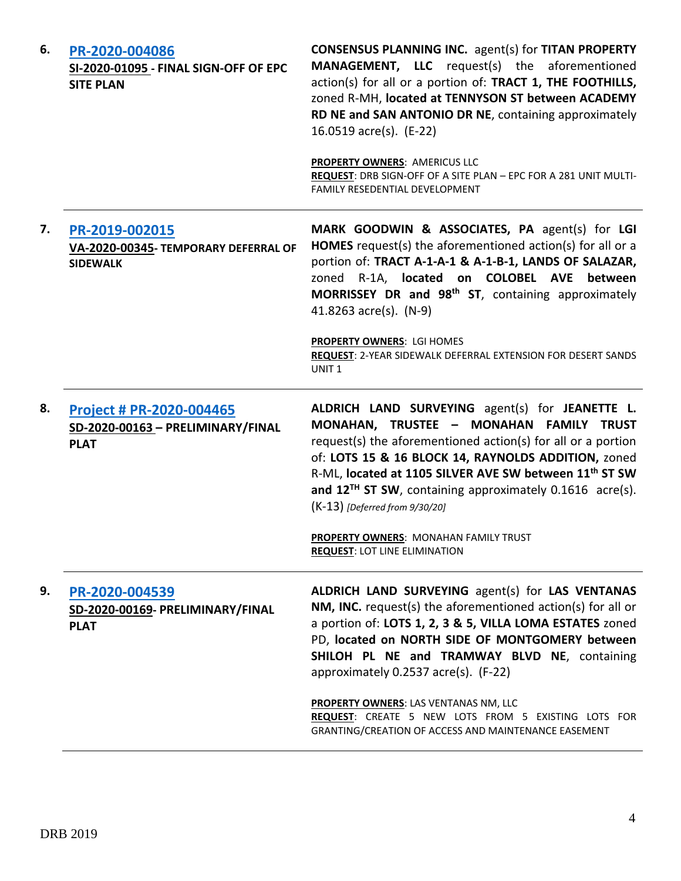| 6. | PR-2020-004086<br>SI-2020-01095 - FINAL SIGN-OFF OF EPC<br><b>SITE PLAN</b>         | <b>CONSENSUS PLANNING INC.</b> agent(s) for TITAN PROPERTY<br><b>MANAGEMENT, LLC</b> request(s) the aforementioned<br>action(s) for all or a portion of: TRACT 1, THE FOOTHILLS,<br>zoned R-MH, located at TENNYSON ST between ACADEMY<br>RD NE and SAN ANTONIO DR NE, containing approximately<br>16.0519 acre(s). (E-22)<br>PROPERTY OWNERS: AMERICUS LLC<br>REQUEST: DRB SIGN-OFF OF A SITE PLAN - EPC FOR A 281 UNIT MULTI- |
|----|-------------------------------------------------------------------------------------|---------------------------------------------------------------------------------------------------------------------------------------------------------------------------------------------------------------------------------------------------------------------------------------------------------------------------------------------------------------------------------------------------------------------------------|
|    |                                                                                     | <b>FAMILY RESEDENTIAL DEVELOPMENT</b>                                                                                                                                                                                                                                                                                                                                                                                           |
| 7. | PR-2019-002015<br>VA-2020-00345- TEMPORARY DEFERRAL OF<br><b>SIDEWALK</b>           | MARK GOODWIN & ASSOCIATES, PA agent(s) for LGI<br>HOMES request(s) the aforementioned action(s) for all or a<br>portion of: TRACT A-1-A-1 & A-1-B-1, LANDS OF SALAZAR,<br>zoned R-1A, located on COLOBEL AVE between<br>MORRISSEY DR and 98 <sup>th</sup> ST, containing approximately<br>41.8263 acre(s). (N-9)                                                                                                                |
|    |                                                                                     | PROPERTY OWNERS: LGI HOMES<br>REQUEST: 2-YEAR SIDEWALK DEFERRAL EXTENSION FOR DESERT SANDS<br>UNIT <sub>1</sub>                                                                                                                                                                                                                                                                                                                 |
| 8. | <b>Project # PR-2020-004465</b><br>SD-2020-00163 - PRELIMINARY/FINAL<br><b>PLAT</b> | ALDRICH LAND SURVEYING agent(s) for JEANETTE L.<br>MONAHAN, TRUSTEE - MONAHAN FAMILY TRUST<br>request(s) the aforementioned action(s) for all or a portion<br>of: LOTS 15 & 16 BLOCK 14, RAYNOLDS ADDITION, zoned<br>R-ML, located at 1105 SILVER AVE SW between 11 <sup>th</sup> ST SW<br>and $12^{TH}$ ST SW, containing approximately 0.1616 acre(s).<br>(K-13) [Deferred from 9/30/20]                                      |
|    |                                                                                     | PROPERTY OWNERS: MONAHAN FAMILY TRUST<br><b>REQUEST: LOT LINE ELIMINATION</b>                                                                                                                                                                                                                                                                                                                                                   |
| 9. | PR-2020-004539<br>SD-2020-00169- PRELIMINARY/FINAL<br><b>PLAT</b>                   | ALDRICH LAND SURVEYING agent(s) for LAS VENTANAS<br>NM, INC. request(s) the aforementioned action(s) for all or<br>a portion of: LOTS 1, 2, 3 & 5, VILLA LOMA ESTATES zoned<br>PD, located on NORTH SIDE OF MONTGOMERY between<br>SHILOH PL NE and TRAMWAY BLVD NE, containing<br>approximately 0.2537 acre(s). (F-22)                                                                                                          |
|    |                                                                                     | <b>PROPERTY OWNERS: LAS VENTANAS NM, LLC</b><br>REQUEST: CREATE 5 NEW LOTS FROM 5 EXISTING LOTS FOR<br>GRANTING/CREATION OF ACCESS AND MAINTENANCE EASEMENT                                                                                                                                                                                                                                                                     |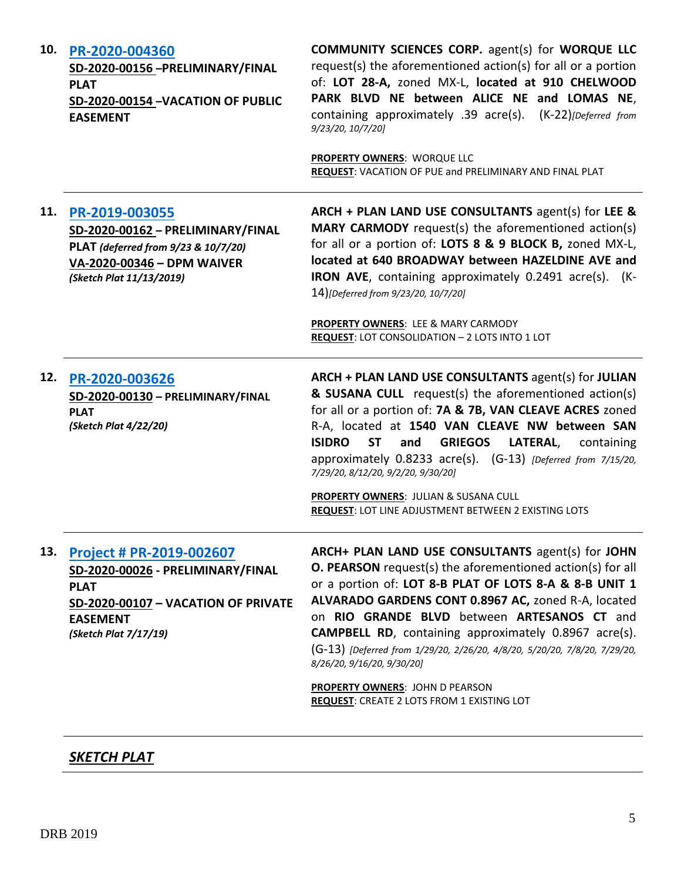| 10. | PR-2020-004360<br>SD-2020-00156 - PRELIMINARY/FINAL<br><b>PLAT</b><br>SD-2020-00154 -VACATION OF PUBLIC<br><b>EASEMENT</b>                                             | <b>COMMUNITY SCIENCES CORP.</b> agent(s) for <b>WORQUE LLC</b><br>request(s) the aforementioned action(s) for all or a portion<br>of: LOT 28-A, zoned MX-L, located at 910 CHELWOOD<br>PARK BLVD NE between ALICE NE and LOMAS NE,<br>containing approximately .39 acre(s). (K-22)[Deferred from<br>9/23/20, 10/7/20]<br><b>PROPERTY OWNERS: WORQUE LLC</b><br>REQUEST: VACATION OF PUE and PRELIMINARY AND FINAL PLAT                                             |
|-----|------------------------------------------------------------------------------------------------------------------------------------------------------------------------|--------------------------------------------------------------------------------------------------------------------------------------------------------------------------------------------------------------------------------------------------------------------------------------------------------------------------------------------------------------------------------------------------------------------------------------------------------------------|
| 11. | PR-2019-003055<br>SD-2020-00162 - PRELIMINARY/FINAL<br>PLAT (deferred from 9/23 & 10/7/20)<br>VA-2020-00346 - DPM WAIVER<br>(Sketch Plat 11/13/2019)                   | ARCH + PLAN LAND USE CONSULTANTS agent(s) for LEE &<br><b>MARY CARMODY</b> request(s) the aforementioned action(s)<br>for all or a portion of: LOTS 8 & 9 BLOCK B, zoned MX-L,<br>located at 640 BROADWAY between HAZELDINE AVE and<br>IRON AVE, containing approximately 0.2491 acre(s). (K-<br>14)[Deferred from 9/23/20, 10/7/20]                                                                                                                               |
|     |                                                                                                                                                                        | PROPERTY OWNERS: LEE & MARY CARMODY<br>REQUEST: LOT CONSOLIDATION - 2 LOTS INTO 1 LOT                                                                                                                                                                                                                                                                                                                                                                              |
| 12. | PR-2020-003626<br>SD-2020-00130 - PRELIMINARY/FINAL<br><b>PLAT</b><br>(Sketch Plat 4/22/20)                                                                            | ARCH + PLAN LAND USE CONSULTANTS agent(s) for JULIAN<br>& SUSANA CULL request(s) the aforementioned action(s)<br>for all or a portion of: 7A & 7B, VAN CLEAVE ACRES zoned<br>R-A, located at 1540 VAN CLEAVE NW between SAN<br><b>ST</b><br><b>ISIDRO</b><br><b>GRIEGOS</b><br>LATERAL,<br>and<br>containing<br>approximately 0.8233 acre(s). (G-13) [Deferred from 7/15/20,<br>7/29/20, 8/12/20, 9/2/20, 9/30/20]                                                 |
|     |                                                                                                                                                                        | PROPERTY OWNERS: JULIAN & SUSANA CULL<br>REQUEST: LOT LINE ADJUSTMENT BETWEEN 2 EXISTING LOTS                                                                                                                                                                                                                                                                                                                                                                      |
| 13. | Project # PR-2019-002607<br>SD-2020-00026 - PRELIMINARY/FINAL<br><b>PLAT</b><br><b>SD-2020-00107 - VACATION OF PRIVATE</b><br><b>EASEMENT</b><br>(Sketch Plat 7/17/19) | ARCH+ PLAN LAND USE CONSULTANTS agent(s) for JOHN<br><b>O. PEARSON</b> request(s) the aforementioned action(s) for all<br>or a portion of: LOT 8-B PLAT OF LOTS 8-A & 8-B UNIT 1<br>ALVARADO GARDENS CONT 0.8967 AC, zoned R-A, located<br>on RIO GRANDE BLVD between ARTESANOS CT and<br><b>CAMPBELL RD</b> , containing approximately 0.8967 acre(s).<br>(G-13) [Deferred from 1/29/20, 2/26/20, 4/8/20, 5/20/20, 7/8/20, 7/29/20,<br>8/26/20, 9/16/20, 9/30/20] |
|     |                                                                                                                                                                        | <b>PROPERTY OWNERS: JOHN D PEARSON</b><br>REQUEST: CREATE 2 LOTS FROM 1 EXISTING LOT                                                                                                                                                                                                                                                                                                                                                                               |

# *SKETCH PLAT*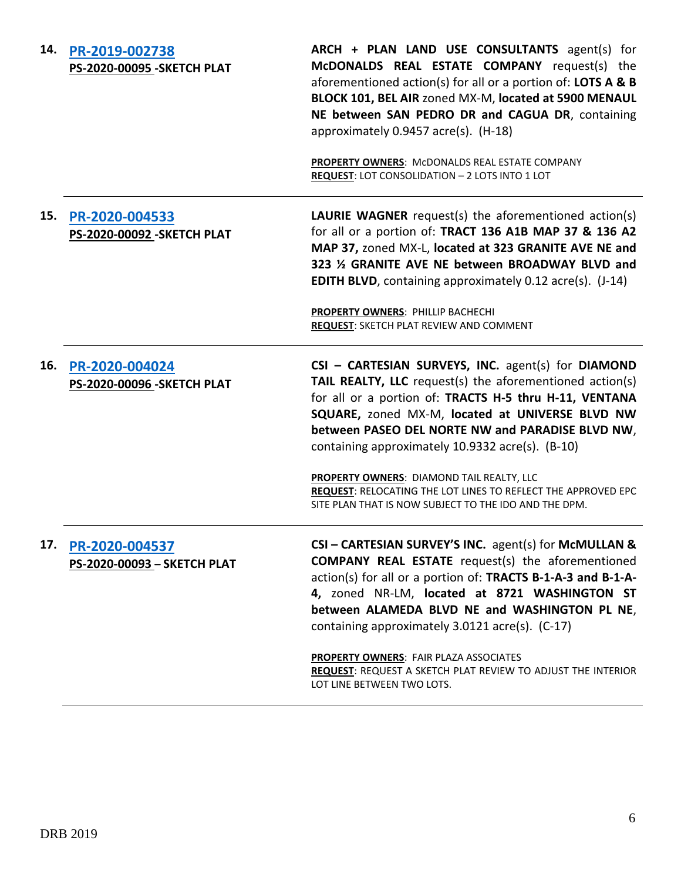| 14. | PR-2019-002738<br><b>PS-2020-00095 - SKETCH PLAT</b> | ARCH + PLAN LAND USE CONSULTANTS agent(s) for<br>McDONALDS REAL ESTATE COMPANY request(s) the<br>aforementioned action(s) for all or a portion of: LOTS A & B<br>BLOCK 101, BEL AIR zoned MX-M, located at 5900 MENAUL<br>NE between SAN PEDRO DR and CAGUA DR, containing<br>approximately 0.9457 acre(s). (H-18)                     |
|-----|------------------------------------------------------|----------------------------------------------------------------------------------------------------------------------------------------------------------------------------------------------------------------------------------------------------------------------------------------------------------------------------------------|
|     |                                                      | <b>PROPERTY OWNERS: MCDONALDS REAL ESTATE COMPANY</b><br>REQUEST: LOT CONSOLIDATION - 2 LOTS INTO 1 LOT                                                                                                                                                                                                                                |
| 15. | PR-2020-004533<br><b>PS-2020-00092-SKETCH PLAT</b>   | <b>LAURIE WAGNER</b> request(s) the aforementioned action(s)<br>for all or a portion of: TRACT 136 A1B MAP 37 & 136 A2<br>MAP 37, zoned MX-L, located at 323 GRANITE AVE NE and<br>323 % GRANITE AVE NE between BROADWAY BLVD and<br><b>EDITH BLVD, containing approximately 0.12 acre(s). (J-14)</b>                                  |
|     |                                                      | <b>PROPERTY OWNERS: PHILLIP BACHECHI</b><br><b>REQUEST: SKETCH PLAT REVIEW AND COMMENT</b>                                                                                                                                                                                                                                             |
| 16. | PR-2020-004024<br>PS-2020-00096 - SKETCH PLAT        | CSI - CARTESIAN SURVEYS, INC. agent(s) for DIAMOND<br>TAIL REALTY, LLC request(s) the aforementioned action(s)<br>for all or a portion of: TRACTS H-5 thru H-11, VENTANA<br>SQUARE, zoned MX-M, located at UNIVERSE BLVD NW<br>between PASEO DEL NORTE NW and PARADISE BLVD NW,<br>containing approximately 10.9332 acre(s). (B-10)    |
|     |                                                      | PROPERTY OWNERS: DIAMOND TAIL REALTY, LLC<br><b>REQUEST: RELOCATING THE LOT LINES TO REFLECT THE APPROVED EPC</b><br>SITE PLAN THAT IS NOW SUBJECT TO THE IDO AND THE DPM.                                                                                                                                                             |
| 17. | PR-2020-004537<br>PS-2020-00093 - SKETCH PLAT        | CSI - CARTESIAN SURVEY'S INC. agent(s) for McMULLAN &<br><b>COMPANY REAL ESTATE</b> request(s) the aforementioned<br>action(s) for all or a portion of: TRACTS B-1-A-3 and B-1-A-<br>4, zoned NR-LM, located at 8721 WASHINGTON ST<br>between ALAMEDA BLVD NE and WASHINGTON PL NE,<br>containing approximately 3.0121 acre(s). (C-17) |
|     |                                                      | PROPERTY OWNERS: FAIR PLAZA ASSOCIATES<br>REQUEST: REQUEST A SKETCH PLAT REVIEW TO ADJUST THE INTERIOR<br>LOT LINE BETWEEN TWO LOTS.                                                                                                                                                                                                   |